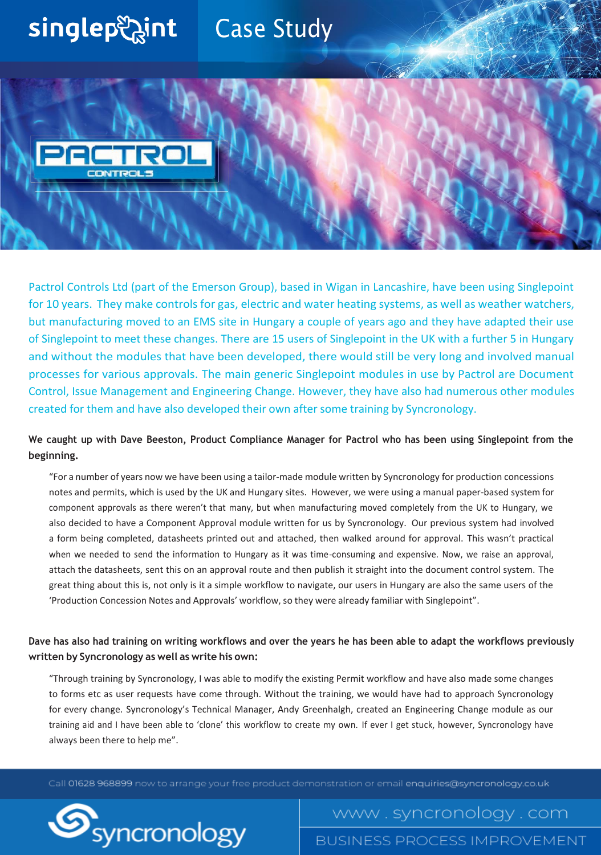## singlep aint Case Study



Pactrol Controls Ltd (part of the Emerson Group), based in Wigan in Lancashire, have been using Singlepoint for 10 years. They make controls for gas, electric and water heating systems, as well as weather watchers, but manufacturing moved to an EMS site in Hungary a couple of years ago and they have adapted their use of Singlepoint to meet these changes. There are 15 users of Singlepoint in the UK with a further 5 in Hungary and without the modules that have been developed, there would still be very long and involved manual processes for various approvals. The main generic Singlepoint modules in use by Pactrol are Document Control, Issue Management and Engineering Change. However, they have also had numerous other modules created for them and have also developed their own after some training by Syncronology.

**We caught up with Dave Beeston, Product Compliance Manager for Pactrol who has been using Singlepoint from the beginning.**

"For a number of years now we have been using a tailor-made module written by Syncronology for production concessions notes and permits, which is used by the UK and Hungary sites. However, we were using a manual paper-based system for component approvals as there weren't that many, but when manufacturing moved completely from the UK to Hungary, we also decided to have a Component Approval module written for us by Syncronology. Our previous system had involved a form being completed, datasheets printed out and attached, then walked around for approval. This wasn't practical when we needed to send the information to Hungary as it was time-consuming and expensive. Now, we raise an approval, attach the datasheets, sent this on an approval route and then publish it straight into the document control system. The great thing about this is, not only is it a simple workflow to navigate, our users in Hungary are also the same users of the 'Production Concession Notes and Approvals' workflow, so they were already familiar with Singlepoint".

## Dave has also had training on writing workflows and over the years he has been able to adapt the workflows previously **written by Syncronology as well as write his own:**

"Through training by Syncronology, I was able to modify the existing Permit workflow and have also made some changes to forms etc as user requests have come through. Without the training, we would have had to approach Syncronology for every change. Syncronology's Technical Manager, Andy Greenhalgh, created an Engineering Change module as our training aid and I have been able to 'clone' this workflow to create my own. If ever I get stuck, however, Syncronology have always been there to help me".

Call 01628 968899 now to arrange your free product demonstration or email enquiries@syncronology.co.uk



www.syncronology.com

**BUSINESS PROCESS IMPROVEMENT**